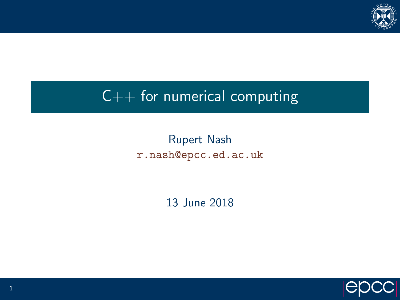

# $C++$  for numerical computing

#### Rupert Nash <r.nash@epcc.ed.ac.uk>

13 June 2018

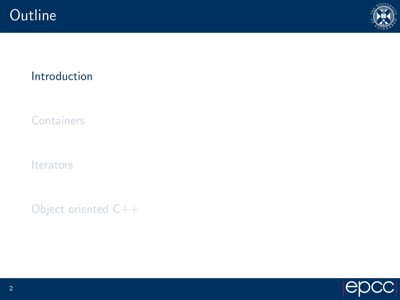<span id="page-1-0"></span>



#### [Introduction](#page-1-0)

**[Containers](#page-4-0)** 

[Iterators](#page-13-0)

[Object oriented C++](#page-29-0)

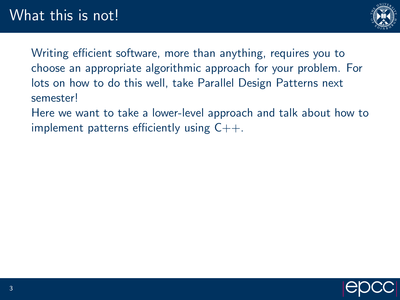

Writing efficient software, more than anything, requires you to choose an appropriate algorithmic approach for your problem. For lots on how to do this well, take Parallel Design Patterns next semester!

Here we want to take a lower-level approach and talk about how to implement patterns efficiently using  $C++$ .

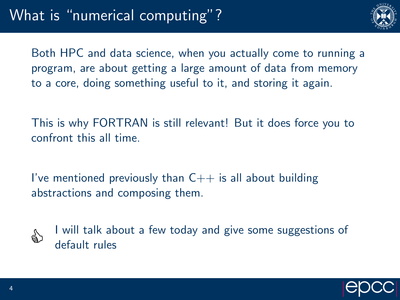

Both HPC and data science, when you actually come to running a program, are about getting a large amount of data from memory to a core, doing something useful to it, and storing it again.

This is why FORTRAN is still relevant! But it does force you to confront this all time.

I've mentioned previously than  $C++$  is all about building abstractions and composing them.



I will talk about a few today and give some suggestions of default rules

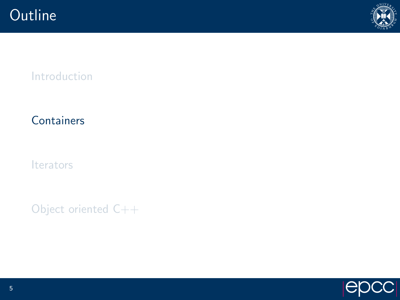

### <span id="page-4-0"></span>[Introduction](#page-1-0)

### **[Containers](#page-4-0)**

[Iterators](#page-13-0)

[Object oriented C++](#page-29-0)

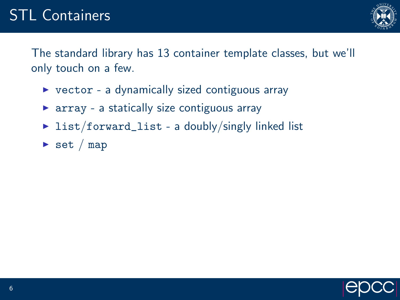

The standard library has 13 container template classes, but we'll only touch on a few.

- $\triangleright$  vector a dynamically sized contiguous array
- $\triangleright$  array a statically size contiguous array
- $\triangleright$  list/forward\_list a doubly/singly linked list
- $\triangleright$  set / map

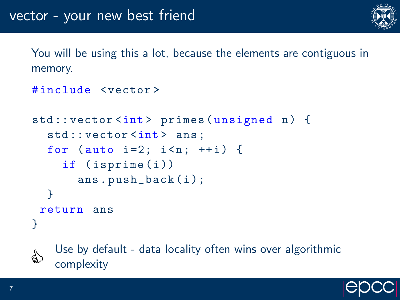

You will be using this a lot, because the elements are contiguous in memory.

```
# include < vector >
```

```
std:: vector <int> primes (unsigned n) {
  std:: vector <int> ans;
  for (auto i=2; i < n; ++i) {
    if ( isprime (i ))
      ans.push_back(i);
  }
 return ans
}
```


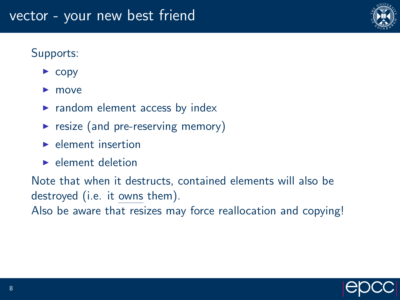#### Supports:

- $\triangleright$  copy
- $\blacktriangleright$  move
- $\blacktriangleright$  random element access by index
- $\triangleright$  resize (and pre-reserving memory)
- $\blacktriangleright$  element insertion
- $\blacktriangleright$  element deletion

Note that when it destructs, contained elements will also be destroyed (i.e. it owns them).

Also be aware that resizes may force reallocation and copying!



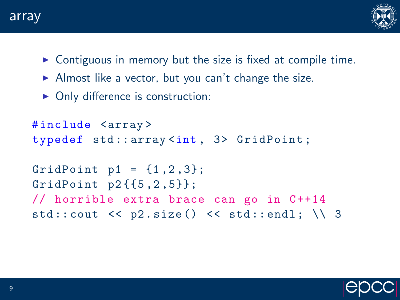



- $\triangleright$  Contiguous in memory but the size is fixed at compile time.
- $\triangleright$  Almost like a vector, but you can't change the size.
- $\triangleright$  Only difference is construction:

```
# include < array >
typedef std::array<int, 3> GridPoint;
GridPoint p1 = \{1, 2, 3\};
GridPoint p2({1, 2, 5});
// horrible extra brace can go in C++14std:: cout \langle \rangle p2. size () \langle \rangle std:: endl; \\ 3
```
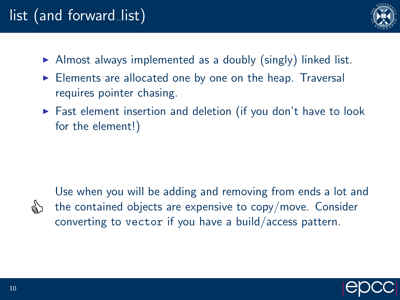# list (and forward list)



- $\triangleright$  Almost always implemented as a doubly (singly) linked list.
- $\triangleright$  Elements are allocated one by one on the heap. Traversal requires pointer chasing.
- $\triangleright$  Fast element insertion and deletion (if you don't have to look for the element!)



Use when you will be adding and removing from ends a lot and the contained objects are expensive to copy/move. Consider converting to vector if you have a build/access pattern.

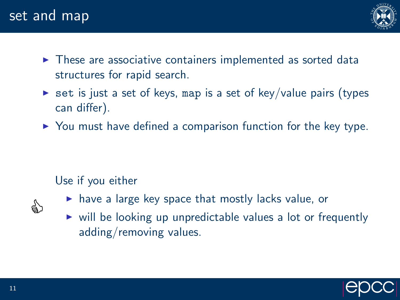## set and map



- $\triangleright$  These are associative containers implemented as sorted data structures for rapid search.
- $\triangleright$  set is just a set of keys, map is a set of key/value pairs (types can differ).
- $\triangleright$  You must have defined a comparison function for the key type.

#### Use if you either



- $\triangleright$  have a large key space that mostly lacks value, or
- $\triangleright$  will be looking up unpredictable values a lot or frequently adding/removing values.

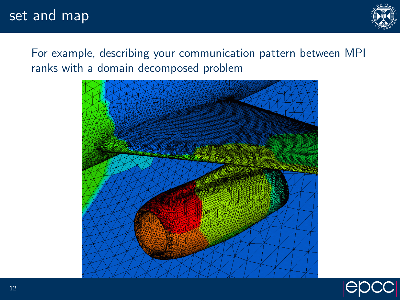## set and map



For example, describing your communication pattern between MPI ranks with a domain decomposed problem



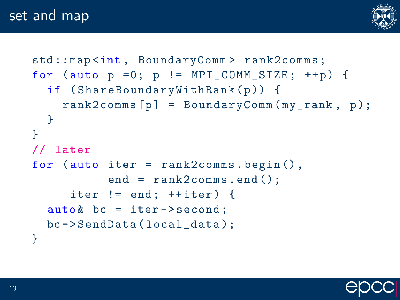### set and map



```
std:: map <int, BoundaryComm > rank2comms;
for (auto p =0; p := MPI_COMM_SIZE; ++p) {
  if (ShareBoundaryWithRank(p)) {
    rank2 \text{comm } [p] = BoundaryComm(my\_rank, p);}
}
// later
for (auto iter = rank2comms.begin(),
           end = rank2comms . end ();
     iter != end; ++iter) {
  auto & bc = iter - > second;bc - > SendData ( local_data );
}
```
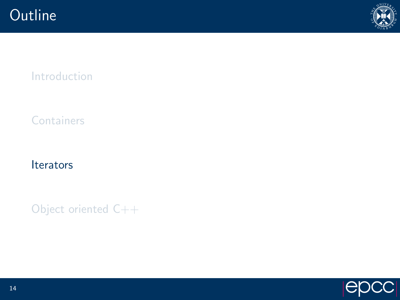

<span id="page-13-0"></span>[Introduction](#page-1-0)

**[Containers](#page-4-0)** 

**[Iterators](#page-13-0)** 

[Object oriented C++](#page-29-0)

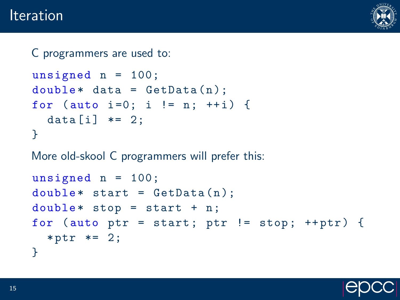### **Iteration**



```
C programmers are used to:
unsigned n = 100;
double* data = GetData(n);for (auto i=0; i != n; ++i) {
  data[i] *= 2;
}
More old-skool C programmers will prefer this:
unsigned n = 100;
double* start = GetData(n);double* stop = start + n;for (auto ptr = start; ptr != stop; +ptr) {
  * ptr *= 2;
}
```
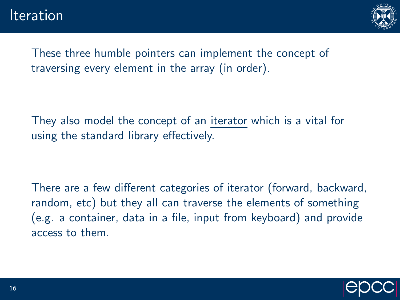

These three humble pointers can implement the concept of traversing every element in the array (in order).

They also model the concept of an iterator which is a vital for using the standard library effectively.

There are a few different categories of iterator (forward, backward, random, etc) but they all can traverse the elements of something (e.g. a container, data in a file, input from keyboard) and provide access to them.

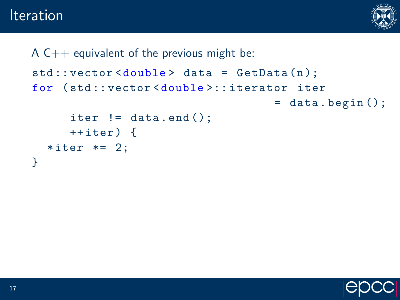### **Iteration**



```
A C++ equivalent of the previous might be:
std::vector < double>data = GetData(n);for ( std :: vector <double >:: iterator iter
                                     = data . begin ();
      iter != data.end();
      ++iter) {
  *iter *= 2;
}
```
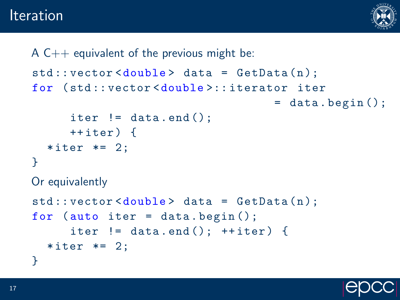**Iteration** 



```
A C_{++} equivalent of the previous might be:
std::vector < double>data = GetData(n);for ( std :: vector <double >:: iterator iter
                                     = data. begin ();
      iter != data.end();
      ++iter) {
  *iter *= 2;
}
Or equivalently
std::vector < double>delta data = GetData(n);for (auto iter = data.begin();
      iter != data.end(); ++iter) {
  *iter *= 2;
}
```
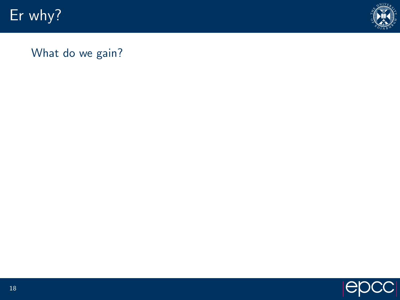Er why?



What do we gain?

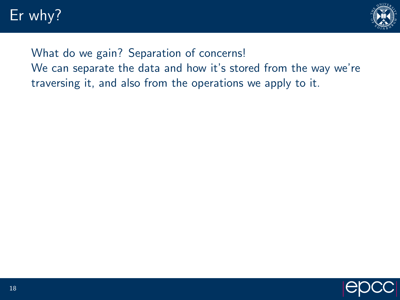# Er why?



### What do we gain? Separation of concerns! We can separate the data and how it's stored from the way we're traversing it, and also from the operations we apply to it.

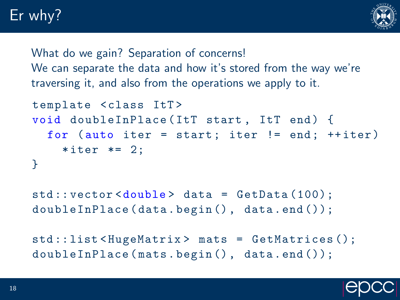# Er why?



What do we gain? Separation of concerns! We can separate the data and how it's stored from the way we're traversing it, and also from the operations we apply to it.

```
template <class ItT>
void doubleInPlace (ItT start, ItT end) {
  for (auto iter = start; iter != end; ++iter)
    *iter *= 2;
}
```

```
std :: vector <double > data = GetData (100);
doubleInPlace (data.begin(), data.end());
```

```
std :: list < HugeMatrix > mats = GetMatrices ();
doubleInPlace (mats.begin(), data.end());
```
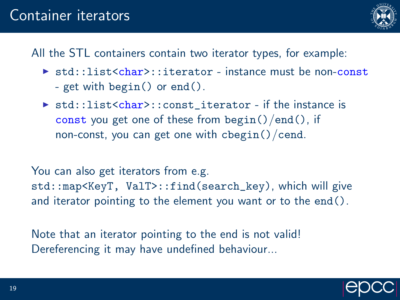## Container iterators



All the STL containers contain two iterator types, for example:

- $\triangleright$  std::list<char>::iterator instance must be non-const - get with begin() or end().
- If std::list<char>::const\_iterator if the instance is const you get one of these from  $begin()$  /end(), if non-const, you can get one with  $cbegin()$  cend.

You can also get iterators from e.g. std::map<KeyT, ValT>::find(search\_key), which will give and iterator pointing to the element you want or to the end().

Note that an iterator pointing to the end is not valid! Dereferencing it may have undefined behaviour...

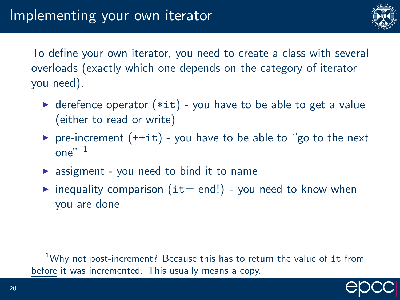

To define your own iterator, you need to create a class with several overloads (exactly which one depends on the category of iterator you need).

- $\triangleright$  derefence operator (\*it) you have to be able to get a value (either to read or write)
- P pre-increment  $(++it)$  you have to be able to "go to the next"  $one''$ <sup>1</sup>
- $\triangleright$  assigment you need to bind it to name
- inequality comparison  $(it= end!)$  you need to know when you are done

 $1$ Why not post-increment? Because this has to return the value of it from before it was incremented. This usually means a copy.

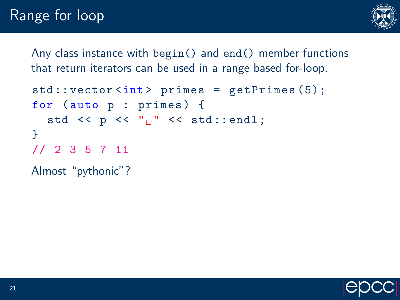# Range for loop



Any class instance with begin() and end() member functions that return iterators can be used in a range based for-loop.

```
std::vector<int> int > primes = getPrimes (5);for (auto p : primes) {
  std \lt\lt p \lt\lt "_{||}" \lt\lt std::endl;
}
// 2 3 5 7 11
```
Almost "pythonic"?

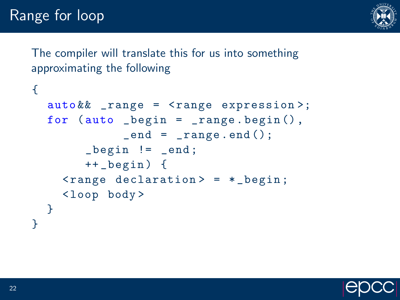

The compiler will translate this for us into something approximating the following

```
{
   auto && _range = < range expression >;
  for (auto degree . begin = range . begin(),
                  _{end} = _{range.end}();
          \lbrack \text{begin} \quad \vdots \quad \text{end} \rbrack++ _begin ) {
      \{r\} \{er\} declaration > = \ast begin;
      < loop body >
  }
}
```
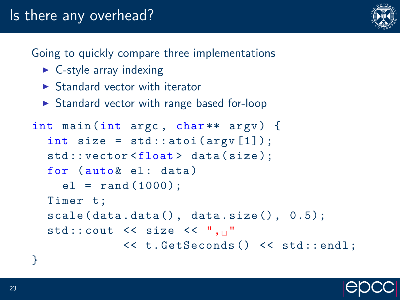# Is there any overhead?

Going to quickly compare three implementations

- $\triangleright$  C-style array indexing
- $\triangleright$  Standard vector with iterator
- $\triangleright$  Standard vector with range based for-loop

```
int main (int argc, char ** argv) {
  int size = std::atoi(argv[1]);std:: vector <float> data (size);
  for (auto & el: data)
    el = rand(1000);
  Timer t:
  scale(data.data(), data.size(), 0.5);std::count \leq x size \leq ", "
             << t . GetSeconds () << std :: endl ;
}
```
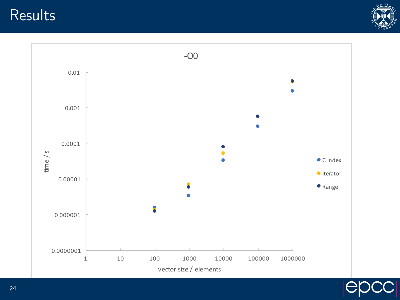**Results** 





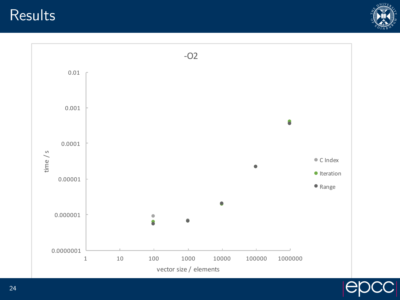**Results** 





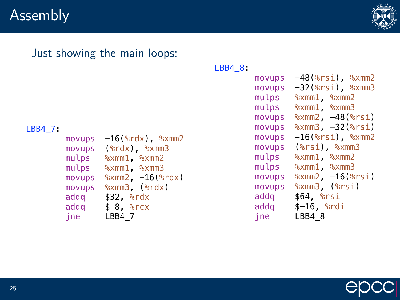## Assembly



#### Just showing the main loops:

#### LBB4\_7:

 movups -16(%rdx), %xmm2 movups (%rdx), %xmm3 mulps %xmm1, %xmm2 mulps %xmm1, %xmm3 movups %xmm2, -16(%rdx) movups %xmm3, (%rdx) addq \$32, %rdx addq  $$-8$ ,  $$rxx$ jne LBB4\_7

#### LBB4\_8:

| movups | -48(%rsi), %xmm2        |
|--------|-------------------------|
| movups | -32(%rsi), %xmm3        |
| mulps  | $% xmm1$ , $% xmm2$     |
| mulps  | $% xmm1$ , $% xmm3$     |
| movups | $% xmm2, -48$ ( $srsi)$ |
| movups | $%xmm3, -32$ ( $srsi)$  |
| movups | $-16$ (%rsi), %xmm2     |
| movups | $(*rsi)$ , $*$ xmm3     |
| mulps  | $% xmm1$ , $% xmm2$     |
| mulps  | $% xmm1$ , $% xmm3$     |
| movups | $%xmm2, -16$ $(*rsi)$   |
| movups | $%xmm3$ , $(%x)=$       |
| addg   | $$64,$ $$rsi$           |
| addg   | $$-16,$ $$rdi$          |
| ine    | LBB4 8                  |
|        |                         |

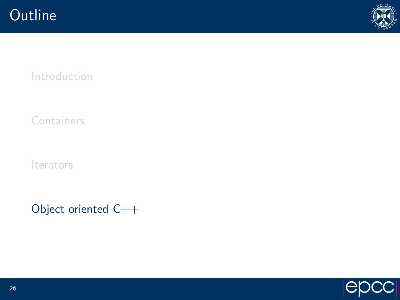

<span id="page-29-0"></span>[Introduction](#page-1-0)

**[Containers](#page-4-0)** 

**[Iterators](#page-13-0)** 

[Object oriented C++](#page-29-0)

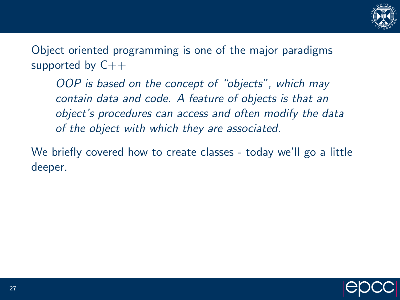

Object oriented programming is one of the major paradigms supported by  $C++$ 

OOP is based on the concept of "objects", which may contain data and code. A feature of objects is that an object's procedures can access and often modify the data of the object with which they are associated.

We briefly covered how to create classes - today we'll go a little deeper.

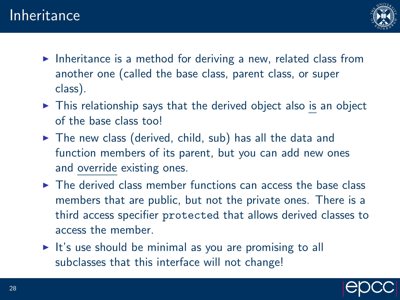

- Inheritance is a method for deriving a new, related class from another one (called the base class, parent class, or super class).
- $\triangleright$  This relationship says that the derived object also is an object of the base class too!
- $\triangleright$  The new class (derived, child, sub) has all the data and function members of its parent, but you can add new ones and override existing ones.
- $\triangleright$  The derived class member functions can access the base class members that are public, but not the private ones. There is a third access specifier protected that allows derived classes to access the member.
- $\triangleright$  It's use should be minimal as you are promising to all subclasses that this interface will not change!

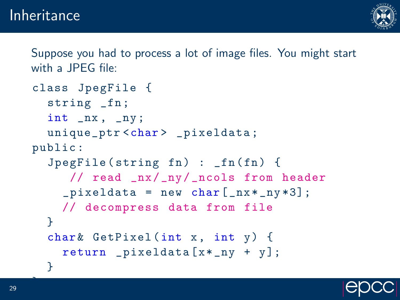

Suppose you had to process a lot of image files. You might start with a **JPFG** file:

```
class JpegFile {
  string _fn ;
  int _nx , _ny ;
  unique_ptr<char> _pixeldata;
public :
  JpegFile (string fn) : _fn(fn) { }// read _nx/ _ny/ _ncols from header
    [pixeddata = new char[nx *_ny * 3];// decompress data from file
  }
  char & GetPixel (int x, int y) {
    return pixeldata [ x * _{ny} + y ];
  }
```


};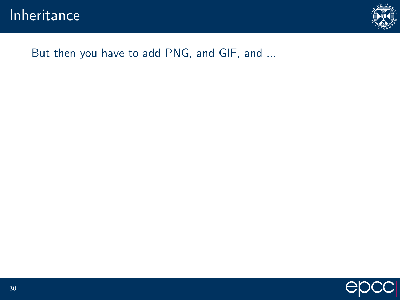

#### But then you have to add PNG, and GIF, and ...

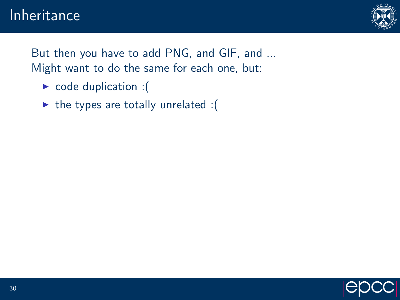

But then you have to add PNG, and GIF, and ... Might want to do the same for each one, but:

- $\triangleright$  code duplication : (
- $\triangleright$  the types are totally unrelated :(

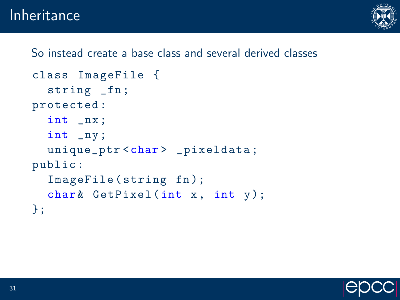## Inheritance



So instead create a base class and several derived classes

```
class ImageFile {
  string _fn;
protected :
  int _nx ;
  int _ny ;
  unique_ptr < char > _pixeldata;
public :
  ImageFile (string fn);
  char \& GetPixel (int x, int y);
};
```
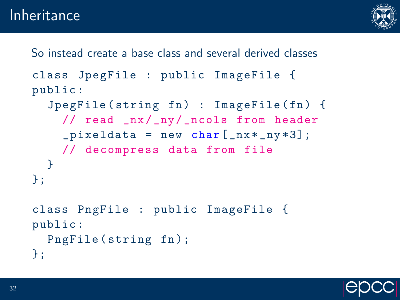

```
So instead create a base class and several derived classes
class JpegFile : public ImageFile {
public :
  JpegFile (string fn) : ImageFile (fn) {
    // read _nx/_ny/_ncols from header
    [pixeddata = new char[nx *_ny * 3];// decompress data from file
  }
};
class PngFile : public ImageFile {
public :
  PngFile (string fn);
};
```
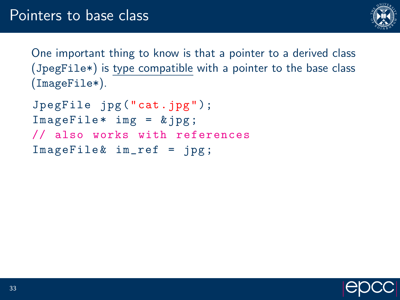

One important thing to know is that a pointer to a derived class (JpegFile\*) is type compatible with a pointer to the base class (ImageFile\*).

JpegFile jpg ("cat.jpg");  $ImageFile* img = & ipg;$ // also works with references  $ImageFile & in-ref = ipg;$ 

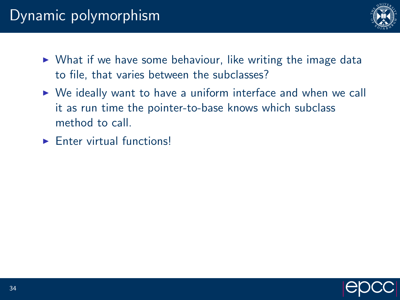# Dynamic polymorphism



- $\triangleright$  What if we have some behaviour, like writing the image data to file, that varies between the subclasses?
- $\triangleright$  We ideally want to have a uniform interface and when we call it as run time the pointer-to-base knows which subclass method to call.
- $\blacktriangleright$  Enter virtual functions!

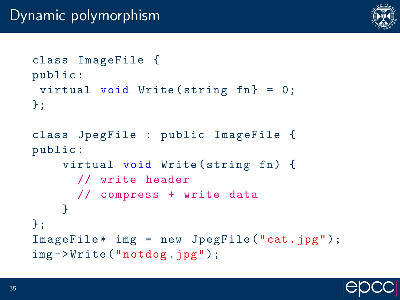

```
class ImageFile {
public :
 virtual void Write (string fn} = 0;
};
class JpegFile : public ImageFile {
public :
    virtual void Write (string fn) {
      // write header
      // compress + write data
    }
};
ImageFile * img = new JpegFile ("cat.jpg");
img - > Write (" notdog .jpg ");
```